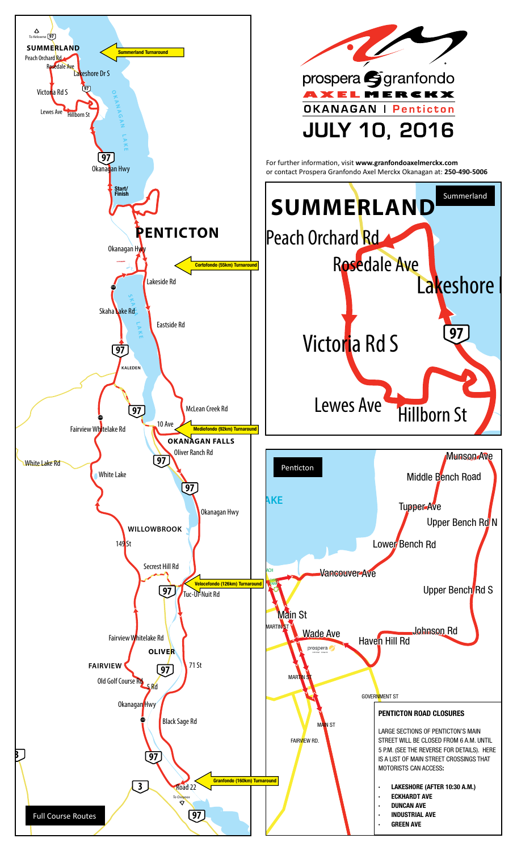